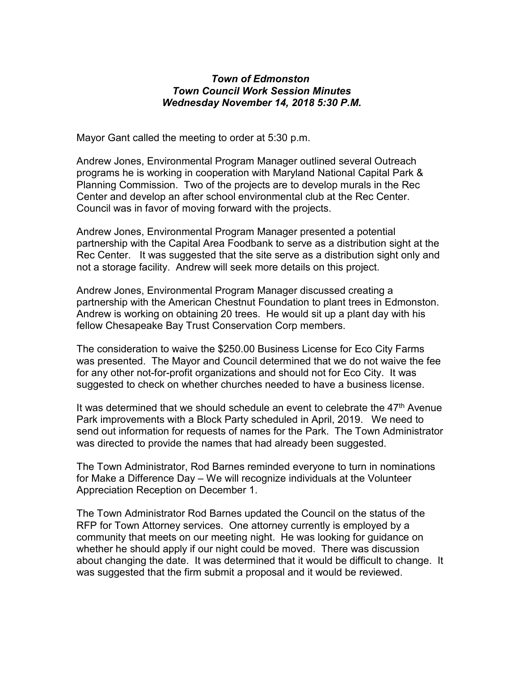## *Town of Edmonston Town Council Work Session Minutes Wednesday November 14, 2018 5:30 P.M.*

Mayor Gant called the meeting to order at 5:30 p.m.

Andrew Jones, Environmental Program Manager outlined several Outreach programs he is working in cooperation with Maryland National Capital Park & Planning Commission. Two of the projects are to develop murals in the Rec Center and develop an after school environmental club at the Rec Center. Council was in favor of moving forward with the projects.

Andrew Jones, Environmental Program Manager presented a potential partnership with the Capital Area Foodbank to serve as a distribution sight at the Rec Center. It was suggested that the site serve as a distribution sight only and not a storage facility. Andrew will seek more details on this project.

Andrew Jones, Environmental Program Manager discussed creating a partnership with the American Chestnut Foundation to plant trees in Edmonston. Andrew is working on obtaining 20 trees. He would sit up a plant day with his fellow Chesapeake Bay Trust Conservation Corp members.

The consideration to waive the \$250.00 Business License for Eco City Farms was presented. The Mayor and Council determined that we do not waive the fee for any other not-for-profit organizations and should not for Eco City. It was suggested to check on whether churches needed to have a business license.

It was determined that we should schedule an event to celebrate the  $47<sup>th</sup>$  Avenue Park improvements with a Block Party scheduled in April, 2019. We need to send out information for requests of names for the Park. The Town Administrator was directed to provide the names that had already been suggested.

The Town Administrator, Rod Barnes reminded everyone to turn in nominations for Make a Difference Day – We will recognize individuals at the Volunteer Appreciation Reception on December 1.

The Town Administrator Rod Barnes updated the Council on the status of the RFP for Town Attorney services. One attorney currently is employed by a community that meets on our meeting night. He was looking for guidance on whether he should apply if our night could be moved. There was discussion about changing the date. It was determined that it would be difficult to change. It was suggested that the firm submit a proposal and it would be reviewed.